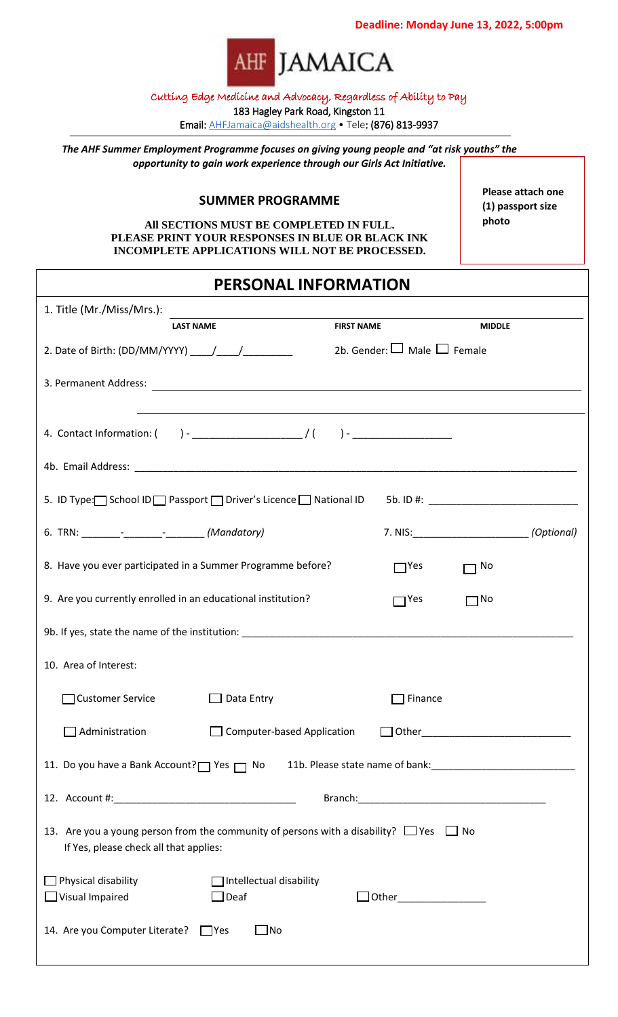**Deadline: Monday June 13, 2022, 5:00pm**



## Cutting Edge Medicine and Advocacy, Regardless of Ability to Pay

183 Hagley Park Road, Kingston 11

Email: [AHFJamaica@aidshealth.org](mailto:AHFJamaica@aidshealth.org) • Tele: (876) 813-9937

*The AHF Summer Employment Programme focuses on giving young people and "at risk youths" the opportunity to gain work experience through our Girls Act Initiative.*

## **SUMMER PROGRAMME**

**All SECTIONS MUST BE COMPLETED IN FULL. PLEASE PRINT YOUR RESPONSES IN BLUE OR BLACK INK INCOMPLETE APPLICATIONS WILL NOT BE PROCESSED.**

**Please attach one (1) passport size photo**

## **PERSONAL INFORMATION**

| 1. Title (Mr./Miss/Mrs.):                                                                                                                                           |                            |                    |  |
|---------------------------------------------------------------------------------------------------------------------------------------------------------------------|----------------------------|--------------------|--|
| <b>LAST NAME</b>                                                                                                                                                    | <b>FIRST NAME</b>          | <b>MIDDLE</b>      |  |
| 2b. Gender: $\Box$ Male $\Box$ Female<br>2. Date of Birth: (DD/MM/YYYY) $\frac{1}{\frac{1}{2}}$                                                                     |                            |                    |  |
|                                                                                                                                                                     |                            |                    |  |
| ,我们也不会有什么。""我们的人,我们也不会有什么?""我们的人,我们也不会有什么?""我们的人,我们也不会有什么?""我们的人,我们也不会有什么?""我们的人<br>4. Contact Information: ( ) - ____________________/ ( ) - _____________________ |                            |                    |  |
|                                                                                                                                                                     |                            |                    |  |
| 5. ID Type: School ID Passport Diver's Licence National ID 5b. ID #: _______________________________                                                                |                            |                    |  |
|                                                                                                                                                                     |                            | 7. NIS: (Optional) |  |
| 8. Have you ever participated in a Summer Programme before?                                                                                                         | TYes                       | No                 |  |
| 9. Are you currently enrolled in an educational institution?                                                                                                        | $\Box$ Yes                 | $\Box$ No          |  |
|                                                                                                                                                                     |                            |                    |  |
| 10. Area of Interest:                                                                                                                                               |                            |                    |  |
| <b>Customer Service</b><br>Data Entry                                                                                                                               | Finance                    |                    |  |
| Administration<br><b>Computer-based Application</b>                                                                                                                 |                            |                    |  |
| 11. Do you have a Bank Account? Yes no No 11b. Please state name of bank: 1. 11. Do you have a Bank Account? Yes no No 11b. Please state name of bank:              |                            |                    |  |
|                                                                                                                                                                     |                            |                    |  |
| 13. Are you a young person from the community of persons with a disability? $\Box$ Yes $\Box$ No<br>If Yes, please check all that applies:                          |                            |                    |  |
| $\Box$ Physical disability<br>$\Box$ Intellectual disability<br>$\Box$ Visual Impaired<br>$\Box$ Deaf                                                               | □ Other___________________ |                    |  |
| 14. Are you Computer Literate? □ Yes<br>$\Box$ No                                                                                                                   |                            |                    |  |